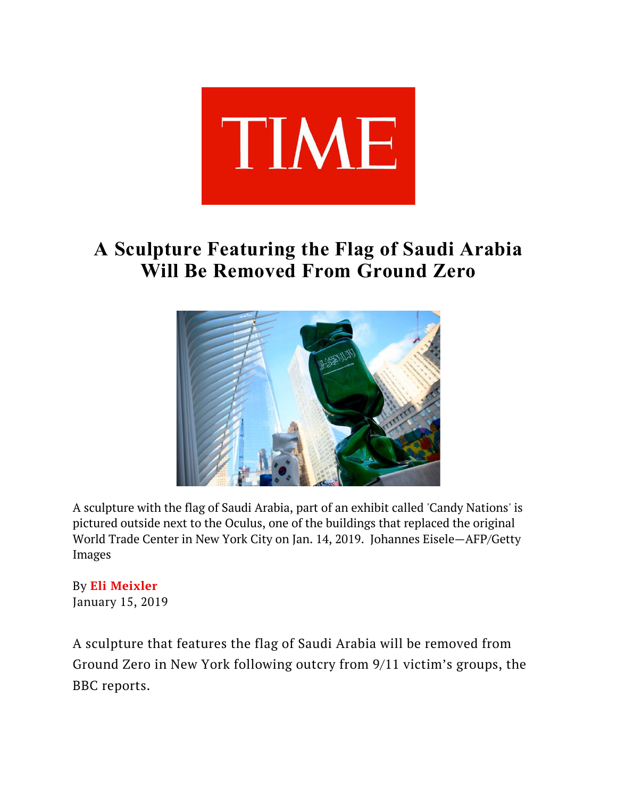

## **A Sculpture Featuring the Flag of Saudi Arabia Will Be Removed From Ground Zero**



A sculpture with the flag of Saudi Arabia, part of an exhibit called 'Candy Nations' is pictured outside next to the Oculus, one of the buildings that replaced the original World Trade Center in New York City on Jan. 14, 2019. Johannes Eisele—AFP/Getty Images

By **Eli Meixler** January 15, 2019

A sculpture that features the flag of Saudi Arabia will be removed from Ground Zero in New York following outcry from 9/11 victim's groups, the BBC reports.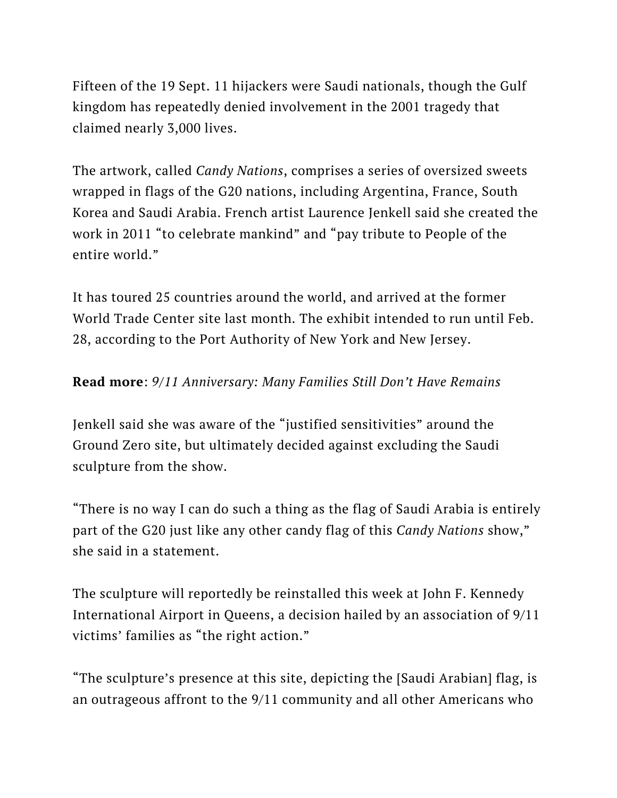Fifteen of the 19 Sept. 11 hijackers were Saudi nationals, though the Gulf kingdom has repeatedly denied involvement in the 2001 tragedy that claimed nearly 3,000 lives.

The artwork, called *Candy Nations*, comprises a series of oversized sweets wrapped in flags of the G20 nations, including Argentina, France, South Korea and Saudi Arabia. French artist Laurence Jenkell said she created the work in 2011 "to celebrate mankind" and "pay tribute to People of the entire world."

It has toured 25 countries around the world, and arrived at the former World Trade Center site last month. The exhibit intended to run until Feb. 28, according to the Port Authority of New York and New Jersey.

## **Read more**: *9/11 Anniversary: Many Families Still Don't Have Remains*

Jenkell said she was aware of the "justified sensitivities" around the Ground Zero site, but ultimately decided against excluding the Saudi sculpture from the show.

"There is no way I can do such a thing as the flag of Saudi Arabia is entirely part of the G20 just like any other candy flag of this *Candy Nations* show," she said in a statement.

The sculpture will reportedly be reinstalled this week at John F. Kennedy International Airport in Queens, a decision hailed by an association of 9/11 victims' families as "the right action."

"The sculpture's presence at this site, depicting the [Saudi Arabian] flag, is an outrageous affront to the 9/11 community and all other Americans who